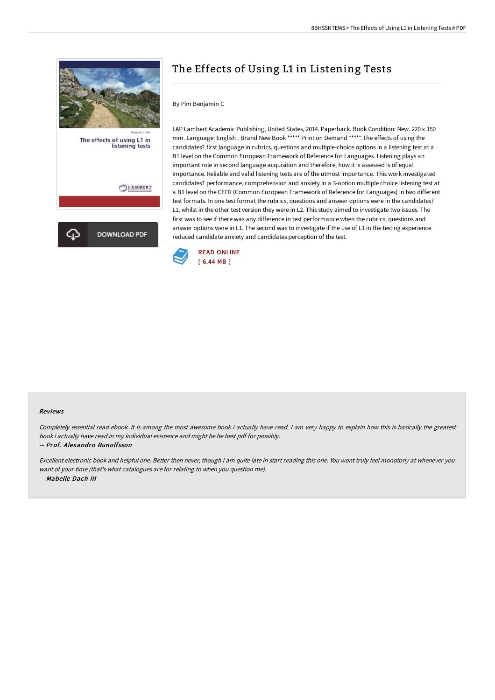

# The Effects of Using L1 in Listening Tests

### By Pim Benjamin C

LAP Lambert Academic Publishing, United States, 2014. Paperback. Book Condition: New. 220 x 150 mm. Language: English . Brand New Book \*\*\*\*\* Print on Demand \*\*\*\*\*.The effects of using the candidates? first language in rubrics, questions and multiple-choice options in a listening test at a B1 level on the Common European Framework of Reference for Languages. Listening plays an important role in second language acquisition and therefore, how it is assessed is of equal importance. Reliable and valid listening tests are of the utmost importance. This work investigated candidates? performance, comprehension and anxiety in a 3-option multiple choice listening test at a B1 level on the CEFR (Common European Framework of Reference for Languages) in two different test formats. In one test format the rubrics, questions and answer options were in the candidates? L1, whilst in the other test version they were in L2. This study aimed to investigate two issues. The first was to see if there was any difference in test performance when the rubrics, questions and answer options were in L1. The second was to investigate if the use of L1 in the testing experience reduced candidate anxiety and candidates perception of the test.



#### Reviews

Completely essential read ebook. It is among the most awesome book i actually have read. I am very happy to explain how this is basically the greatest book i actually have read in my individual existence and might be he best pdf for possibly.

#### -- Prof. Alexandro Runolfsson

Excellent electronic book and helpful one. Better then never, though i am quite late in start reading this one. You wont truly feel monotony at whenever you want of your time (that's what catalogues are for relating to when you question me). -- Mabelle Dach III